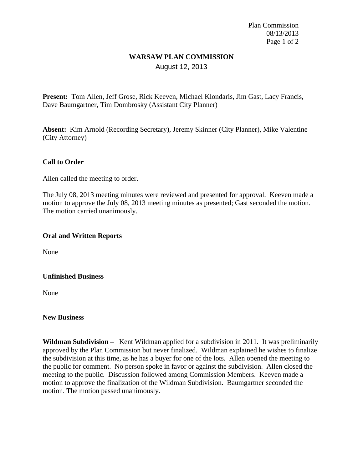Plan Commission 08/13/2013 Page 1 of 2

# **WARSAW PLAN COMMISSION** August 12, 2013

**Present:** Tom Allen, Jeff Grose, Rick Keeven, Michael Klondaris, Jim Gast, Lacy Francis, Dave Baumgartner, Tim Dombrosky (Assistant City Planner)

**Absent:** Kim Arnold (Recording Secretary), Jeremy Skinner (City Planner), Mike Valentine (City Attorney)

### **Call to Order**

Allen called the meeting to order.

The July 08, 2013 meeting minutes were reviewed and presented for approval. Keeven made a motion to approve the July 08, 2013 meeting minutes as presented; Gast seconded the motion. The motion carried unanimously.

### **Oral and Written Reports**

None

### **Unfinished Business**

None

### **New Business**

**Wildman Subdivision –** Kent Wildman applied for a subdivision in 2011. It was preliminarily approved by the Plan Commission but never finalized. Wildman explained he wishes to finalize the subdivision at this time, as he has a buyer for one of the lots. Allen opened the meeting to the public for comment. No person spoke in favor or against the subdivision. Allen closed the meeting to the public. Discussion followed among Commission Members. Keeven made a motion to approve the finalization of the Wildman Subdivision. Baumgartner seconded the motion. The motion passed unanimously.